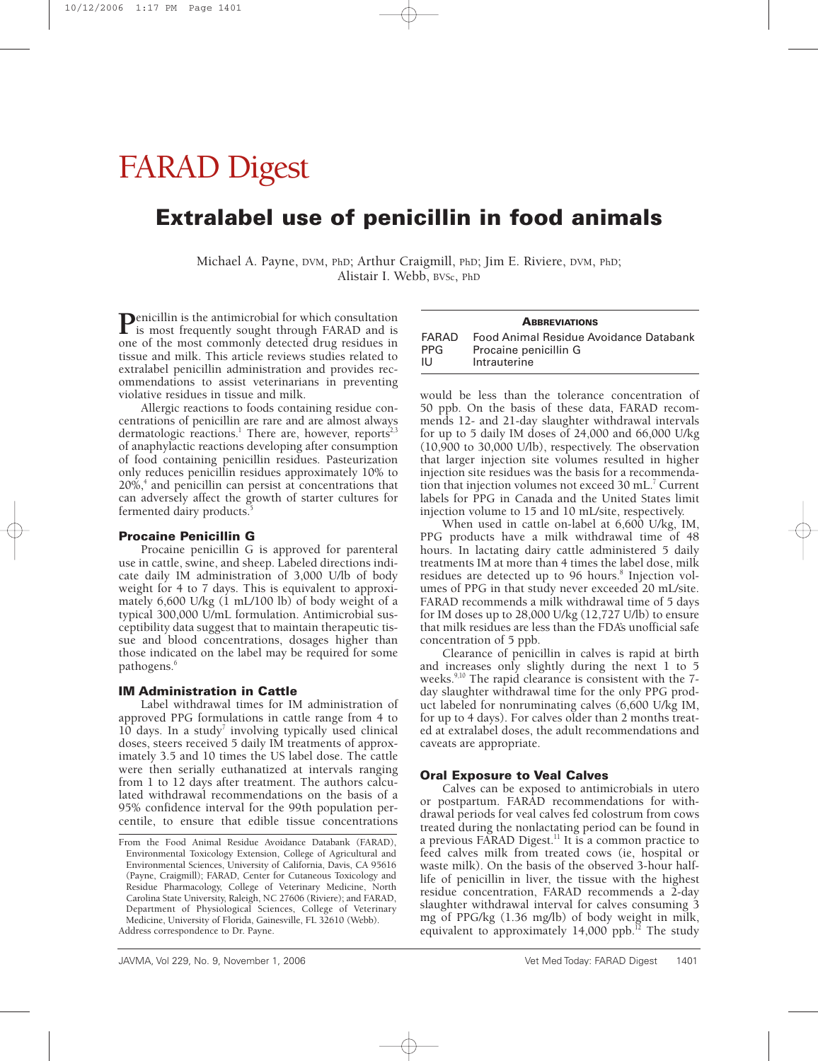# FARAD Digest

# **Extralabel use of penicillin in food animals**

Michael A. Payne, DVM, PhD; Arthur Craigmill, PhD; Jim E. Riviere, DVM, PhD; Alistair I. Webb, BVSc, PhD

**P**enicillin is the antimicrobial for which consultation<br>is most frequently sought through FARAD and is<br>and of the most commonly detected drug residues in one of the most commonly detected drug residues in tissue and milk. This article reviews studies related to extralabel penicillin administration and provides recommendations to assist veterinarians in preventing violative residues in tissue and milk.

Allergic reactions to foods containing residue concentrations of penicillin are rare and are almost always dermatologic reactions.<sup>1</sup> There are, however, reports<sup>2</sup>, of anaphylactic reactions developing after consumption of food containing penicillin residues. Pasteurization only reduces penicillin residues approximately 10% to  $20\%$ , and penicillin can persist at concentrations that can adversely affect the growth of starter cultures for fermented dairy products.<sup>5</sup>

#### **Procaine Penicillin G**

Procaine penicillin G is approved for parenteral use in cattle, swine, and sheep. Labeled directions indicate daily IM administration of 3,000 U/lb of body weight for 4 to 7 days. This is equivalent to approximately 6,600 U/kg (1 mL/100 lb) of body weight of a typical 300,000 U/mL formulation. Antimicrobial susceptibility data suggest that to maintain therapeutic tissue and blood concentrations, dosages higher than those indicated on the label may be required for some pathogens.<sup>6</sup>

#### **IM Administration in Cattle**

Label withdrawal times for IM administration of approved PPG formulations in cattle range from 4 to  $10$  days. In a study<sup>7</sup> involving typically used clinical doses, steers received 5 daily IM treatments of approximately 3.5 and 10 times the US label dose. The cattle were then serially euthanatized at intervals ranging from 1 to 12 days after treatment. The authors calculated withdrawal recommendations on the basis of a 95% confidence interval for the 99th population percentile, to ensure that edible tissue concentrations

| <b>ABBREVIATIONS</b> |                                        |
|----------------------|----------------------------------------|
| FARAD                | Food Animal Residue Avoidance Databank |
| <b>PPG</b>           | Procaine penicillin G                  |
| - 11 J               | Intrauterine                           |

would be less than the tolerance concentration of 50 ppb. On the basis of these data, FARAD recommends 12- and 21-day slaughter withdrawal intervals for up to 5 daily IM doses of 24,000 and 66,000 U/kg (10,900 to 30,000 U/lb), respectively. The observation that larger injection site volumes resulted in higher injection site residues was the basis for a recommendation that injection volumes not exceed  $30 \text{ mL}^7$  Current labels for PPG in Canada and the United States limit injection volume to 15 and 10 mL/site, respectively.

When used in cattle on-label at 6,600 U/kg, IM, PPG products have a milk withdrawal time of 48 hours. In lactating dairy cattle administered 5 daily treatments IM at more than 4 times the label dose, milk residues are detected up to 96 hours.<sup>8</sup> Injection volumes of PPG in that study never exceeded 20 mL/site. FARAD recommends a milk withdrawal time of 5 days for IM doses up to 28,000 U/kg (12,727 U/lb) to ensure that milk residues are less than the FDA's unofficial safe concentration of 5 ppb.

Clearance of penicillin in calves is rapid at birth and increases only slightly during the next 1 to 5 weeks.<sup>9,10</sup> The rapid clearance is consistent with the 7day slaughter withdrawal time for the only PPG product labeled for nonruminating calves (6,600 U/kg IM, for up to 4 days). For calves older than 2 months treated at extralabel doses, the adult recommendations and caveats are appropriate.

#### **Oral Exposure to Veal Calves**

Calves can be exposed to antimicrobials in utero or postpartum. FARAD recommendations for withdrawal periods for veal calves fed colostrum from cows treated during the nonlactating period can be found in a previous FARAD Digest.<sup>11</sup> It is a common practice to feed calves milk from treated cows (ie, hospital or waste milk). On the basis of the observed 3-hour halflife of penicillin in liver, the tissue with the highest residue concentration, FARAD recommends a 2-day slaughter withdrawal interval for calves consuming 3 mg of PPG/kg (1.36 mg/lb) of body weight in milk, equivalent to approximately  $14,000$  ppb.<sup>12</sup> The study

From the Food Animal Residue Avoidance Databank (FARAD), Environmental Toxicology Extension, College of Agricultural and Environmental Sciences, University of California, Davis, CA 95616 (Payne, Craigmill); FARAD, Center for Cutaneous Toxicology and Residue Pharmacology, College of Veterinary Medicine, North Carolina State University, Raleigh, NC 27606 (Riviere); and FARAD, Department of Physiological Sciences, College of Veterinary Medicine, University of Florida, Gainesville, FL 32610 (Webb). Address correspondence to Dr. Payne.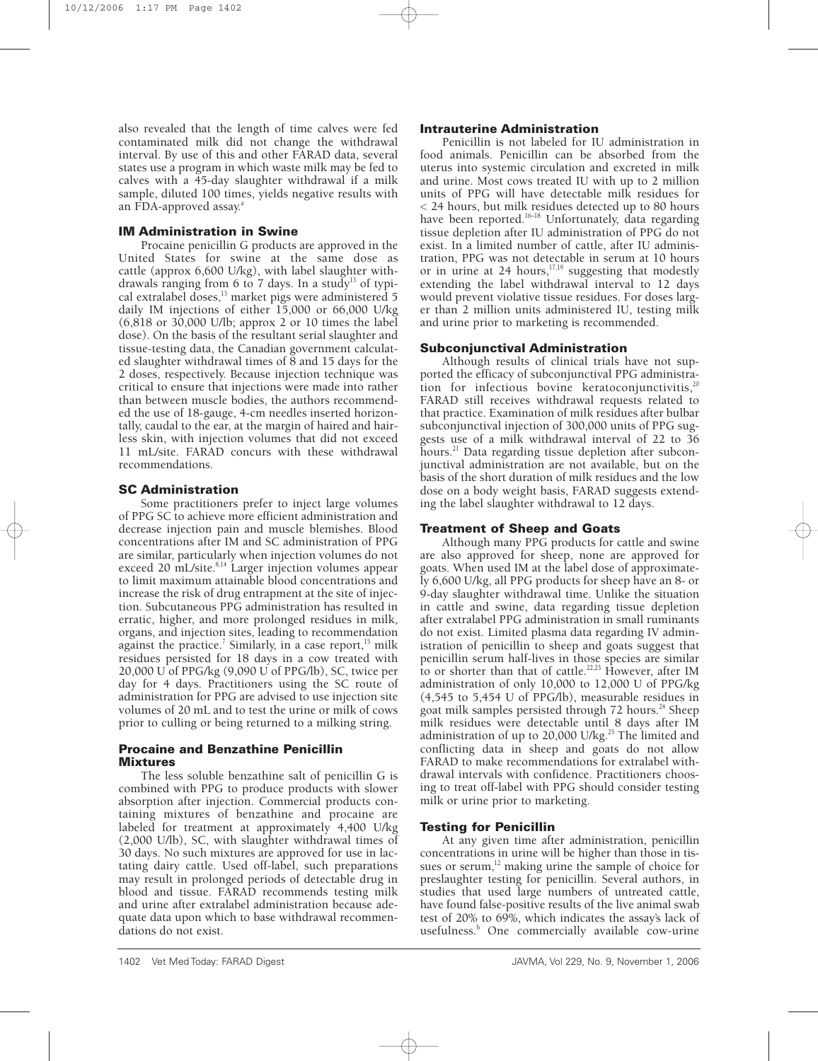also revealed that the length of time calves were fed contaminated milk did not change the withdrawal interval. By use of this and other FARAD data, several states use a program in which waste milk may be fed to calves with a 45-day slaughter withdrawal if a milk sample, diluted 100 times, yields negative results with an FDA-approved assay.<sup>a</sup>

# **IM Administration in Swine**

Procaine penicillin G products are approved in the United States for swine at the same dose as cattle (approx 6,600 U/kg), with label slaughter withdrawals ranging from 6 to 7 days. In a study<sup>13</sup> of typical extralabel doses, $13$  market pigs were administered 5 daily IM injections of either 15,000 or 66,000 U/kg (6,818 or 30,000 U/lb; approx 2 or 10 times the label dose). On the basis of the resultant serial slaughter and tissue-testing data, the Canadian government calculated slaughter withdrawal times of 8 and 15 days for the 2 doses, respectively. Because injection technique was critical to ensure that injections were made into rather than between muscle bodies, the authors recommended the use of 18-gauge, 4-cm needles inserted horizontally, caudal to the ear, at the margin of haired and hairless skin, with injection volumes that did not exceed 11 mL/site. FARAD concurs with these withdrawal recommendations.

# **SC Administration**

Some practitioners prefer to inject large volumes of PPG SC to achieve more efficient administration and decrease injection pain and muscle blemishes. Blood concentrations after IM and SC administration of PPG are similar, particularly when injection volumes do not exceed 20 mL/site.<sup>8,14</sup> Larger injection volumes appear to limit maximum attainable blood concentrations and increase the risk of drug entrapment at the site of injection. Subcutaneous PPG administration has resulted in erratic, higher, and more prolonged residues in milk, organs, and injection sites, leading to recommendation against the practice.<sup>7</sup> Similarly, in a case report,<sup>15</sup> milk residues persisted for 18 days in a cow treated with 20,000 U of PPG/kg (9,090 U of PPG/lb), SC, twice per day for 4 days. Practitioners using the SC route of administration for PPG are advised to use injection site volumes of 20 mL and to test the urine or milk of cows prior to culling or being returned to a milking string.

#### **Procaine and Benzathine Penicillin Mixtures**

The less soluble benzathine salt of penicillin G is combined with PPG to produce products with slower absorption after injection. Commercial products containing mixtures of benzathine and procaine are labeled for treatment at approximately 4,400 U/kg (2,000 U/lb), SC, with slaughter withdrawal times of 30 days. No such mixtures are approved for use in lactating dairy cattle. Used off-label, such preparations may result in prolonged periods of detectable drug in blood and tissue. FARAD recommends testing milk and urine after extralabel administration because adequate data upon which to base withdrawal recommendations do not exist.

## **Intrauterine Administration**

Penicillin is not labeled for IU administration in food animals. Penicillin can be absorbed from the uterus into systemic circulation and excreted in milk and urine. Most cows treated IU with up to 2 million units of PPG will have detectable milk residues for < 24 hours, but milk residues detected up to 80 hours have been reported.<sup>16–18</sup> Unfortunately, data regarding tissue depletion after IU administration of PPG do not exist. In a limited number of cattle, after IU administration, PPG was not detectable in serum at 10 hours or in urine at 24 hours,  $17,19$  suggesting that modestly extending the label withdrawal interval to 12 days would prevent violative tissue residues. For doses larger than 2 million units administered IU, testing milk and urine prior to marketing is recommended.

# **Subconjunctival Administration**

Although results of clinical trials have not supported the efficacy of subconjunctival PPG administration for infectious bovine keratoconjunctivitis,<sup>20</sup> FARAD still receives withdrawal requests related to that practice. Examination of milk residues after bulbar subconjunctival injection of 300,000 units of PPG suggests use of a milk withdrawal interval of 22 to 36 hours.<sup>21</sup> Data regarding tissue depletion after subconjunctival administration are not available, but on the basis of the short duration of milk residues and the low dose on a body weight basis, FARAD suggests extending the label slaughter withdrawal to 12 days.

# **Treatment of Sheep and Goats**

Although many PPG products for cattle and swine are also approved for sheep, none are approved for goats. When used IM at the label dose of approximately 6,600 U/kg, all PPG products for sheep have an 8- or 9-day slaughter withdrawal time. Unlike the situation in cattle and swine, data regarding tissue depletion after extralabel PPG administration in small ruminants do not exist. Limited plasma data regarding IV administration of penicillin to sheep and goats suggest that penicillin serum half-lives in those species are similar to or shorter than that of cattle.<sup>22,23</sup> However, after IM administration of only 10,000 to 12,000 U of PPG/kg (4,545 to 5,454 U of PPG/lb), measurable residues in goat milk samples persisted through 72 hours.<sup>24</sup> Sheep milk residues were detectable until 8 days after IM administration of up to  $20,000$  U/kg.<sup>25</sup> The limited and conflicting data in sheep and goats do not allow FARAD to make recommendations for extralabel withdrawal intervals with confidence. Practitioners choosing to treat off-label with PPG should consider testing milk or urine prior to marketing.

## **Testing for Penicillin**

At any given time after administration, penicillin concentrations in urine will be higher than those in tissues or serum, $12$  making urine the sample of choice for preslaughter testing for penicillin. Several authors, in studies that used large numbers of untreated cattle, have found false-positive results of the live animal swab test of 20% to 69%, which indicates the assay's lack of usefulness.<sup>b</sup> One commercially available cow-urine